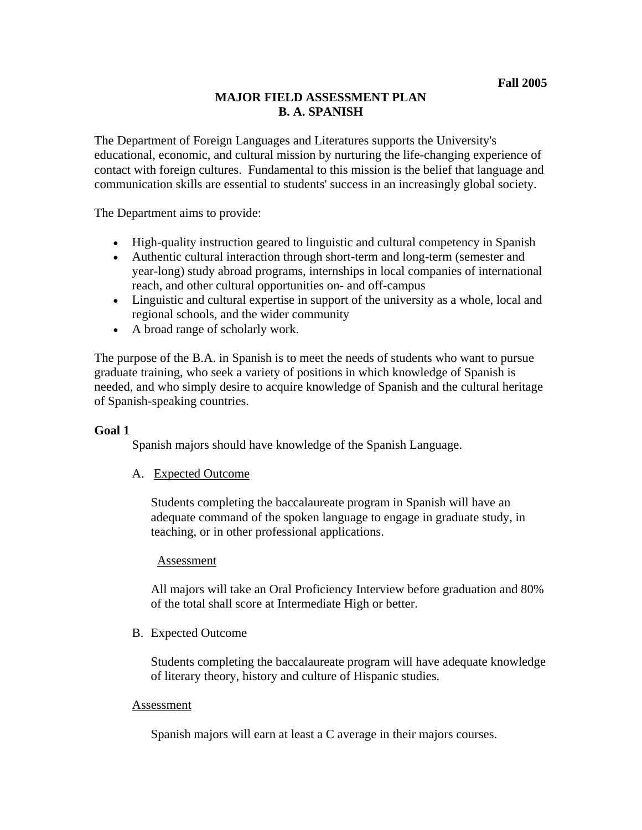# **MAJOR FIELD ASSESSMENT PLAN B. A. SPANISH**

The Department of Foreign Languages and Literatures supports the University's educational, economic, and cultural mission by nurturing the life-changing experience of contact with foreign cultures. Fundamental to this mission is the belief that language and communication skills are essential to students' success in an increasingly global society.

The Department aims to provide:

- High-quality instruction geared to linguistic and cultural competency in Spanish
- Authentic cultural interaction through short-term and long-term (semester and year-long) study abroad programs, internships in local companies of international reach, and other cultural opportunities on- and off-campus
- Linguistic and cultural expertise in support of the university as a whole, local and regional schools, and the wider community
- A broad range of scholarly work.

The purpose of the B.A. in Spanish is to meet the needs of students who want to pursue graduate training, who seek a variety of positions in which knowledge of Spanish is needed, and who simply desire to acquire knowledge of Spanish and the cultural heritage of Spanish-speaking countries.

### **Goal 1**

Spanish majors should have knowledge of the Spanish Language.

### A. Expected Outcome

Students completing the baccalaureate program in Spanish will have an adequate command of the spoken language to engage in graduate study, in teaching, or in other professional applications.

#### Assessment

All majors will take an Oral Proficiency Interview before graduation and 80% of the total shall score at Intermediate High or better.

### B. Expected Outcome

Students completing the baccalaureate program will have adequate knowledge of literary theory, history and culture of Hispanic studies.

#### Assessment

Spanish majors will earn at least a C average in their majors courses.